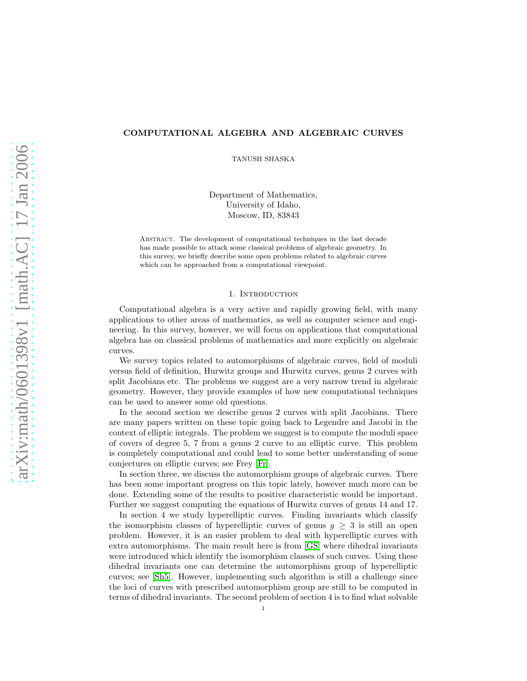# COMPUTATIONAL ALGEBRA AND ALGEBRAIC CURVES

TANUSH SHASKA

Department of Mathematics, University of Idaho, Moscow, ID, 83843

Abstract. The development of computational techniques in the last decade has made possible to attack some classical problems of algebraic geometry. In this survey, we briefly describe some open problems related to algebraic curves which can be approached from a computational viewpoint.

### 1. INTRODUCTION

Computational algebra is a very active and rapidly growing field, with many applications to other areas of mathematics, as well as computer science and engineering. In this survey, however, we will focus on applications that computational algebra has on classical problems of mathematics and more explicitly on algebraic curves.

We survey topics related to automorphisms of algebraic curves, field of moduli versus field of definition, Hurwitz groups and Hurwitz curves, genus 2 curves with split Jacobians etc. The problems we suggest are a very narrow trend in algebraic geometry. However, they provide examples of how new computational techniques can be used to answer some old questions.

In the second section we describe genus 2 curves with split Jacobians. There are many papers written on these topic going back to Legendre and Jacobi in the context of elliptic integrals. The problem we suggest is to compute the moduli space of covers of degree 5, 7 from a genus 2 curve to an elliptic curve. This problem is completely computational and could lead to some better understanding of some conjectures on elliptic curves; see Frey [\[Fr\]](#page-7-0).

In section three, we discuss the automorphism groups of algebraic curves. There has been some important progress on this topic lately, however much more can be done. Extending some of the results to positive characteristic would be important. Further we suggest computing the equations of Hurwitz curves of genus 14 and 17.

In section 4 we study hyperelliptic curves. Finding invariants which classify the isomorphism classes of hyperelliptic curves of genus  $g \geq 3$  is still an open problem. However, it is an easier problem to deal with hyperelliptic curves with extra automorphisms. The main result here is from [\[GS\]](#page-7-1) where dihedral invariants were introduced which identify the isomorphism classes of such curves. Using these dihedral invariants one can determine the automorphism group of hyperelliptic curves; see [\[Sh5\]](#page-8-0). However, implementing such algorithm is still a challenge since the loci of curves with prescribed automorphism group are still to be computed in terms of dihedral invariants. The second problem of section 4 is to find what solvable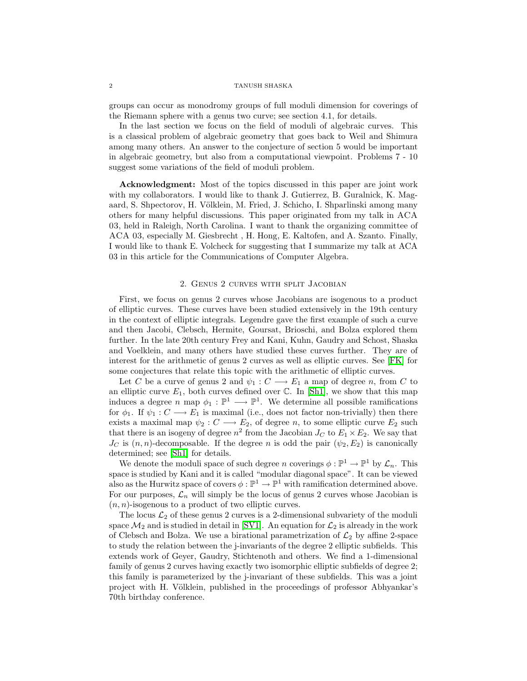#### 2 TANUSH SHASKA

groups can occur as monodromy groups of full moduli dimension for coverings of the Riemann sphere with a genus two curve; see section 4.1, for details.

In the last section we focus on the field of moduli of algebraic curves. This is a classical problem of algebraic geometry that goes back to Weil and Shimura among many others. An answer to the conjecture of section 5 would be important in algebraic geometry, but also from a computational viewpoint. Problems 7 - 10 suggest some variations of the field of moduli problem.

Acknowledgment: Most of the topics discussed in this paper are joint work with my collaborators. I would like to thank J. Gutierrez, B. Guralnick, K. Magaard, S. Shpectorov, H. Völklein, M. Fried, J. Schicho, I. Shparlinski among many others for many helpful discussions. This paper originated from my talk in ACA 03, held in Raleigh, North Carolina. I want to thank the organizing committee of ACA 03, especially M. Giesbrecht , H. Hong, E. Kaltofen, and A. Szanto. Finally, I would like to thank E. Volcheck for suggesting that I summarize my talk at ACA 03 in this article for the Communications of Computer Algebra.

### 2. Genus 2 curves with split Jacobian

First, we focus on genus 2 curves whose Jacobians are isogenous to a product of elliptic curves. These curves have been studied extensively in the 19th century in the context of elliptic integrals. Legendre gave the first example of such a curve and then Jacobi, Clebsch, Hermite, Goursat, Brioschi, and Bolza explored them further. In the late 20th century Frey and Kani, Kuhn, Gaudry and Schost, Shaska and Voelklein, and many others have studied these curves further. They are of interest for the arithmetic of genus 2 curves as well as elliptic curves. See [\[FK\]](#page-7-2) for some conjectures that relate this topic with the arithmetic of elliptic curves.

Let C be a curve of genus 2 and  $\psi_1 : C \longrightarrow E_1$  a map of degree n, from C to an elliptic curve  $E_1$ , both curves defined over  $\mathbb C$ . In [\[Sh1\]](#page-7-3), we show that this map induces a degree n map  $\phi_1 : \mathbb{P}^1 \longrightarrow \mathbb{P}^1$ . We determine all possible ramifications for  $\phi_1$ . If  $\psi_1: C \longrightarrow E_1$  is maximal (i.e., does not factor non-trivially) then there exists a maximal map  $\psi_2 : C \longrightarrow E_2$ , of degree n, to some elliptic curve  $E_2$  such that there is an isogeny of degree  $n^2$  from the Jacobian  $J_C$  to  $E_1 \times E_2$ . We say that  $J_C$  is  $(n, n)$ -decomposable. If the degree n is odd the pair  $(\psi_2, E_2)$  is canonically determined; see [\[Sh1\]](#page-7-3) for details.

We denote the moduli space of such degree n coverings  $\phi : \mathbb{P}^1 \to \mathbb{P}^1$  by  $\mathcal{L}_n$ . This space is studied by Kani and it is called "modular diagonal space". It can be viewed also as the Hurwitz space of covers  $\phi : \mathbb{P}^1 \to \mathbb{P}^1$  with ramification determined above. For our purposes,  $\mathcal{L}_n$  will simply be the locus of genus 2 curves whose Jacobian is  $(n, n)$ -isogenous to a product of two elliptic curves.

The locus  $\mathcal{L}_2$  of these genus 2 curves is a 2-dimensional subvariety of the moduli space  $\mathcal{M}_2$  and is studied in detail in [\[SV1\]](#page-8-1). An equation for  $\mathcal{L}_2$  is already in the work of Clebsch and Bolza. We use a birational parametrization of  $\mathcal{L}_2$  by affine 2-space to study the relation between the j-invariants of the degree 2 elliptic subfields. This extends work of Geyer, Gaudry, Stichtenoth and others. We find a 1-dimensional family of genus 2 curves having exactly two isomorphic elliptic subfields of degree 2; this family is parameterized by the j-invariant of these subfields. This was a joint project with H. Völklein, published in the proceedings of professor Abhyankar's 70th birthday conference.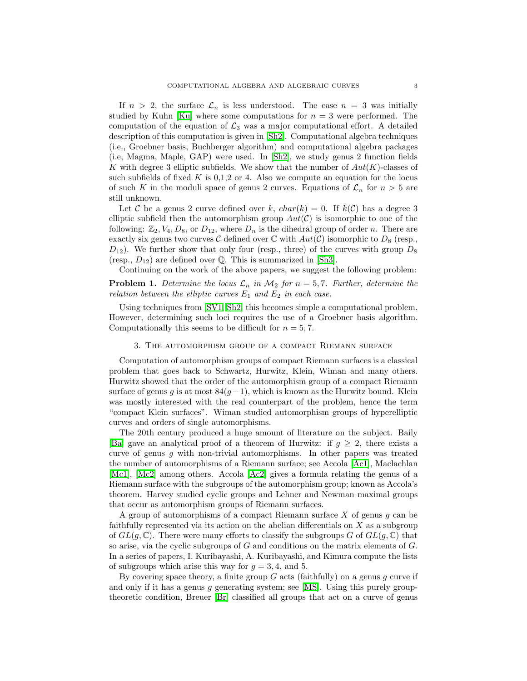If  $n > 2$ , the surface  $\mathcal{L}_n$  is less understood. The case  $n = 3$  was initially studied by Kuhn [\[Ku\]](#page-7-4) where some computations for  $n = 3$  were performed. The computation of the equation of  $\mathcal{L}_3$  was a major computational effort. A detailed description of this computation is given in [\[Sh2\]](#page-8-2). Computational algebra techniques (i.e., Groebner basis, Buchberger algorithm) and computational algebra packages (i.e, Magma, Maple, GAP) were used. In [\[Sh2\]](#page-8-2), we study genus 2 function fields K with degree 3 elliptic subfields. We show that the number of  $Aut(K)$ -classes of such subfields of fixed  $K$  is 0,1,2 or 4. Also we compute an equation for the locus of such K in the moduli space of genus 2 curves. Equations of  $\mathcal{L}_n$  for  $n > 5$  are still unknown.

Let C be a genus 2 curve defined over k,  $char(k) = 0$ . If  $\bar{k}(\mathcal{C})$  has a degree 3 elliptic subfield then the automorphism group  $Aut(\mathcal{C})$  is isomorphic to one of the following:  $\mathbb{Z}_2$ ,  $V_4$ ,  $D_8$ , or  $D_{12}$ , where  $D_n$  is the dihedral group of order n. There are exactly six genus two curves  $\mathcal C$  defined over  $\mathbb C$  with  $Aut(\mathcal C)$  isomorphic to  $D_8$  (resp.,  $D_{12}$ ). We further show that only four (resp., three) of the curves with group  $D_8$ (resp.,  $D_{12}$ ) are defined over Q. This is summarized in [\[Sh3\]](#page-8-3).

Continuing on the work of the above papers, we suggest the following problem:

**Problem 1.** Determine the locus  $\mathcal{L}_n$  in  $\mathcal{M}_2$  for  $n = 5, 7$ . Further, determine the *relation between the elliptic curves*  $E_1$  *and*  $E_2$  *in each case.* 

Using techniques from [\[SV1,](#page-8-1) [Sh2\]](#page-8-2) this becomes simple a computational problem. However, determining such loci requires the use of a Groebner basis algorithm. Computationally this seems to be difficult for  $n = 5, 7$ .

### 3. The automorphism group of a compact Riemann surface

Computation of automorphism groups of compact Riemann surfaces is a classical problem that goes back to Schwartz, Hurwitz, Klein, Wiman and many others. Hurwitz showed that the order of the automorphism group of a compact Riemann surface of genus g is at most  $84(g-1)$ , which is known as the Hurwitz bound. Klein was mostly interested with the real counterpart of the problem, hence the term "compact Klein surfaces". Wiman studied automorphism groups of hyperelliptic curves and orders of single automorphisms.

The 20th century produced a huge amount of literature on the subject. Baily [\[Ba\]](#page-7-5) gave an analytical proof of a theorem of Hurwitz: if  $g \geq 2$ , there exists a curve of genus g with non-trivial automorphisms. In other papers was treated the number of automorphisms of a Riemann surface; see Accola [\[Ac1\]](#page-7-6), Maclachlan [\[Mc1\]](#page-7-7), [\[Mc2\]](#page-7-8) among others. Accola [\[Ac2\]](#page-7-9) gives a formula relating the genus of a Riemann surface with the subgroups of the automorphism group; known as Accola's theorem. Harvey studied cyclic groups and Lehner and Newman maximal groups that occur as automorphism groups of Riemann surfaces.

A group of automorphisms of a compact Riemann surface  $X$  of genus  $g$  can be faithfully represented via its action on the abelian differentials on X as a subgroup of  $GL(q,\mathbb{C})$ . There were many efforts to classify the subgroups G of  $GL(q,\mathbb{C})$  that so arise, via the cyclic subgroups of  $G$  and conditions on the matrix elements of  $G$ . In a series of papers, I. Kuribayashi, A. Kuribayashi, and Kimura compute the lists of subgroups which arise this way for  $g = 3, 4$ , and 5.

By covering space theory, a finite group  $G$  acts (faithfully) on a genus  $g$  curve if and only if it has a genus g generating system; see  $[MS]$ . Using this purely grouptheoretic condition, Breuer [\[Br\]](#page-7-11) classified all groups that act on a curve of genus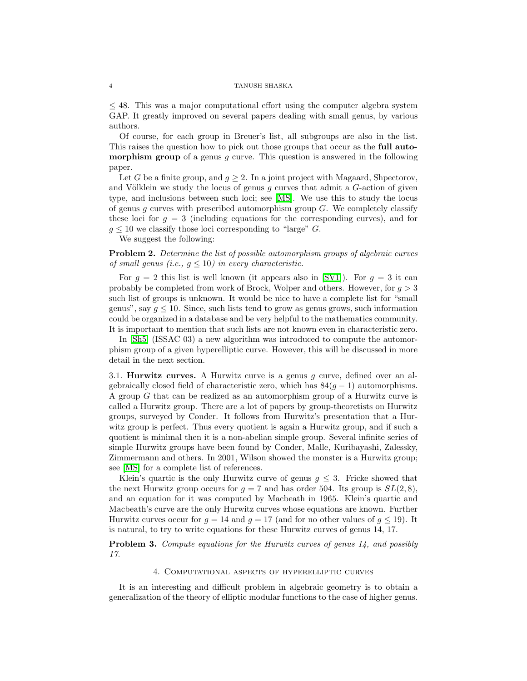#### 4 TANUSH SHASKA

≤ 48. This was a major computational effort using the computer algebra system GAP. It greatly improved on several papers dealing with small genus, by various authors.

Of course, for each group in Breuer's list, all subgroups are also in the list. This raises the question how to pick out those groups that occur as the full auto**morphism group** of a genus  $q$  curve. This question is answered in the following paper.

Let G be a finite group, and  $g \geq 2$ . In a joint project with Magaard, Shpectorov, and Völklein we study the locus of genus  $g$  curves that admit a  $G$ -action of given type, and inclusions between such loci; see [\[MS\]](#page-7-10). We use this to study the locus of genus g curves with prescribed automorphism group  $G$ . We completely classify these loci for  $g = 3$  (including equations for the corresponding curves), and for  $q \leq 10$  we classify those loci corresponding to "large" G.

We suggest the following:

Problem 2. *Determine the list of possible automorphism groups of algebraic curves of small genus (i.e.,*  $g \leq 10$ *) in every characteristic.* 

For  $g = 2$  this list is well known (it appears also in [\[SV1\]](#page-8-1)). For  $g = 3$  it can probably be completed from work of Brock, Wolper and others. However, for  $g > 3$ such list of groups is unknown. It would be nice to have a complete list for "small genus", say  $q \leq 10$ . Since, such lists tend to grow as genus grows, such information could be organized in a database and be very helpful to the mathematics community. It is important to mention that such lists are not known even in characteristic zero.

In [\[Sh5\]](#page-8-0) (ISSAC 03) a new algorithm was introduced to compute the automorphism group of a given hyperelliptic curve. However, this will be discussed in more detail in the next section.

3.1. **Hurwitz curves.** A Hurwitz curve is a genus  $q$  curve, defined over an algebraically closed field of characteristic zero, which has  $84(q - 1)$  automorphisms. A group G that can be realized as an automorphism group of a Hurwitz curve is called a Hurwitz group. There are a lot of papers by group-theoretists on Hurwitz groups, surveyed by Conder. It follows from Hurwitz's presentation that a Hurwitz group is perfect. Thus every quotient is again a Hurwitz group, and if such a quotient is minimal then it is a non-abelian simple group. Several infinite series of simple Hurwitz groups have been found by Conder, Malle, Kuribayashi, Zalessky, Zimmermann and others. In 2001, Wilson showed the monster is a Hurwitz group; see [\[MS\]](#page-7-10) for a complete list of references.

Klein's quartic is the only Hurwitz curve of genus  $g \leq 3$ . Fricke showed that the next Hurwitz group occurs for  $g = 7$  and has order 504. Its group is  $SL(2,8)$ , and an equation for it was computed by Macbeath in 1965. Klein's quartic and Macbeath's curve are the only Hurwitz curves whose equations are known. Further Hurwitz curves occur for  $q = 14$  and  $q = 17$  (and for no other values of  $q \le 19$ ). It is natural, to try to write equations for these Hurwitz curves of genus 14, 17.

Problem 3. *Compute equations for the Hurwitz curves of genus 14, and possibly 17.*

### 4. Computational aspects of hyperelliptic curves

It is an interesting and difficult problem in algebraic geometry is to obtain a generalization of the theory of elliptic modular functions to the case of higher genus.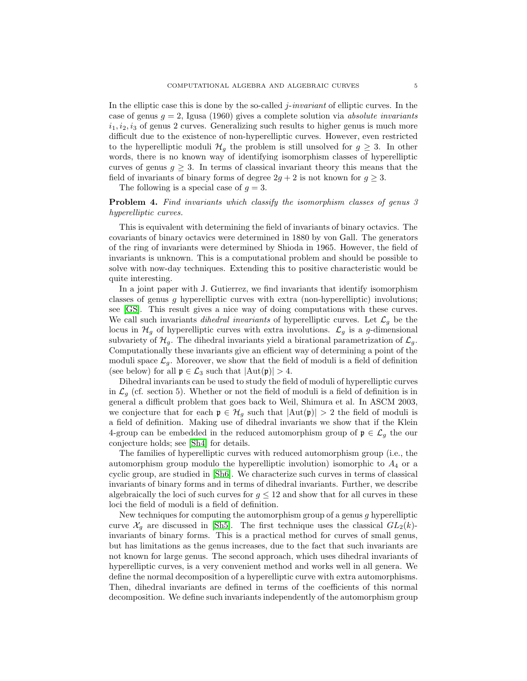In the elliptic case this is done by the so-called j-*invariant* of elliptic curves. In the case of genus g = 2, Igusa (1960) gives a complete solution via *absolute invariants*  $i_1, i_2, i_3$  of genus 2 curves. Generalizing such results to higher genus is much more difficult due to the existence of non-hyperelliptic curves. However, even restricted to the hyperelliptic moduli  $\mathcal{H}_q$  the problem is still unsolved for  $q \geq 3$ . In other words, there is no known way of identifying isomorphism classes of hyperelliptic curves of genus  $g \geq 3$ . In terms of classical invariant theory this means that the field of invariants of binary forms of degree  $2g + 2$  is not known for  $g \geq 3$ .

The following is a special case of  $g = 3$ .

## Problem 4. *Find invariants which classify the isomorphism classes of genus 3 hyperelliptic curves.*

This is equivalent with determining the field of invariants of binary octavics. The covariants of binary octavics were determined in 1880 by von Gall. The generators of the ring of invariants were determined by Shioda in 1965. However, the field of invariants is unknown. This is a computational problem and should be possible to solve with now-day techniques. Extending this to positive characteristic would be quite interesting.

In a joint paper with J. Gutierrez, we find invariants that identify isomorphism classes of genus q hyperelliptic curves with extra (non-hyperelliptic) involutions; see [\[GS\]](#page-7-1). This result gives a nice way of doing computations with these curves. We call such invariants *dihedral invariants* of hyperelliptic curves. Let  $\mathcal{L}_q$  be the locus in  $\mathcal{H}_g$  of hyperelliptic curves with extra involutions.  $\mathcal{L}_g$  is a g-dimensional subvariety of  $\mathcal{H}_g$ . The dihedral invariants yield a birational parametrization of  $\mathcal{L}_g$ . Computationally these invariants give an efficient way of determining a point of the moduli space  $\mathcal{L}_q$ . Moreover, we show that the field of moduli is a field of definition (see below) for all  $\mathfrak{p} \in \mathcal{L}_3$  such that  $|\text{Aut}(\mathfrak{p})| > 4$ .

Dihedral invariants can be used to study the field of moduli of hyperelliptic curves in  $\mathcal{L}_q$  (cf. section 5). Whether or not the field of moduli is a field of definition is in general a difficult problem that goes back to Weil, Shimura et al. In ASCM 2003, we conjecture that for each  $\mathfrak{p} \in \mathcal{H}_g$  such that  $|\text{Aut}(\mathfrak{p})| > 2$  the field of moduli is a field of definition. Making use of dihedral invariants we show that if the Klein 4-group can be embedded in the reduced automorphism group of  $\mathfrak{p} \in \mathcal{L}_g$  the our conjecture holds; see [\[Sh4\]](#page-8-4) for details.

The families of hyperelliptic curves with reduced automorphism group (i.e., the automorphism group modulo the hyperelliptic involution) isomorphic to  $A_4$  or a cyclic group, are studied in [\[Sh6\]](#page-8-5). We characterize such curves in terms of classical invariants of binary forms and in terms of dihedral invariants. Further, we describe algebraically the loci of such curves for  $q \leq 12$  and show that for all curves in these loci the field of moduli is a field of definition.

New techniques for computing the automorphism group of a genus  $g$  hyperelliptic curve  $\mathcal{X}_q$  are discussed in [\[Sh5\]](#page-8-0). The first technique uses the classical  $GL_2(k)$ invariants of binary forms. This is a practical method for curves of small genus, but has limitations as the genus increases, due to the fact that such invariants are not known for large genus. The second approach, which uses dihedral invariants of hyperelliptic curves, is a very convenient method and works well in all genera. We define the normal decomposition of a hyperelliptic curve with extra automorphisms. Then, dihedral invariants are defined in terms of the coefficients of this normal decomposition. We define such invariants independently of the automorphism group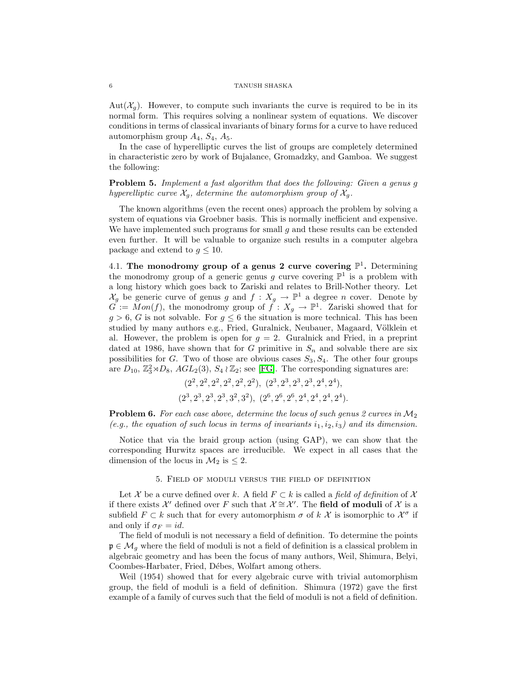$Aut(\mathcal{X}_q)$ . However, to compute such invariants the curve is required to be in its normal form. This requires solving a nonlinear system of equations. We discover conditions in terms of classical invariants of binary forms for a curve to have reduced automorphism group  $A_4$ ,  $S_4$ ,  $A_5$ .

In the case of hyperelliptic curves the list of groups are completely determined in characteristic zero by work of Bujalance, Gromadzky, and Gamboa. We suggest the following:

Problem 5. *Implement a fast algorithm that does the following: Given a genus* g *hyperelliptic curve*  $\mathcal{X}_g$ *, determine the automorphism group of*  $\mathcal{X}_g$ *.* 

The known algorithms (even the recent ones) approach the problem by solving a system of equations via Groebner basis. This is normally inefficient and expensive. We have implemented such programs for small  $q$  and these results can be extended even further. It will be valuable to organize such results in a computer algebra package and extend to  $g \leq 10$ .

4.1. The monodromy group of a genus 2 curve covering  $\mathbb{P}^1$ . Determining the monodromy group of a generic genus g curve covering  $\mathbb{P}^1$  is a problem with a long history which goes back to Zariski and relates to Brill-Nother theory. Let  $\mathcal{X}_g$  be generic curve of genus g and  $f: X_g \to \mathbb{P}^1$  a degree n cover. Denote by  $G := \overline{Mon}(f)$ , the monodromy group of  $\overline{f} : X_g \to \mathbb{P}^1$ . Zariski showed that for  $g > 6$ , G is not solvable. For  $g \leq 6$  the situation is more technical. This has been studied by many authors e.g., Fried, Guralnick, Neubauer, Magaard, Völklein et al. However, the problem is open for  $g = 2$ . Guralnick and Fried, in a preprint dated at 1986, have shown that for G primitive in  $S_n$  and solvable there are six possibilities for G. Two of those are obvious cases  $S_3, S_4$ . The other four groups are  $D_{10}$ ,  $\mathbb{Z}_3^2 \rtimes D_8$ ,  $AGL_2(3)$ ,  $S_4 \wr \mathbb{Z}_2$ ; see [\[FG\]](#page-7-12). The corresponding signatures are:

$$
(2^2, 2^2, 2^2, 2^2, 2^2, 2^2), (2^3, 2^3, 2^3, 2^3, 2^4, 2^4),(2^3, 2^3, 2^3, 2^3, 3^2, 3^2), (2^6, 2^6, 2^6, 2^4, 2^4, 2^4, 2^4).
$$

Problem 6. *For each case above, determine the locus of such genus 2 curves in* M<sup>2</sup>  $(e.g., the equation of such locus in terms of invariants  $i_1, i_2, i_3$ ) and its dimension.$ 

Notice that via the braid group action (using GAP), we can show that the corresponding Hurwitz spaces are irreducible. We expect in all cases that the dimension of the locus in  $\mathcal{M}_2$  is  $\leq 2$ .

#### 5. Field of moduli versus the field of definition

Let X be a curve defined over k. A field  $F \subset k$  is called a *field of definition* of X if there exists  $\mathcal{X}'$  defined over F such that  $\mathcal{X} \cong \mathcal{X}'$ . The field of moduli of  $\mathcal X$  is a subfield  $F \subset k$  such that for every automorphism  $\sigma$  of  $k \mathcal{X}$  is isomorphic to  $\mathcal{X}^{\sigma}$  if and only if  $\sigma_F = id$ .

The field of moduli is not necessary a field of definition. To determine the points  $\mathfrak{p} \in \mathcal{M}_q$  where the field of moduli is not a field of definition is a classical problem in algebraic geometry and has been the focus of many authors, Weil, Shimura, Belyi, Coombes-Harbater, Fried, Débes, Wolfart among others.

Weil (1954) showed that for every algebraic curve with trivial automorphism group, the field of moduli is a field of definition. Shimura (1972) gave the first example of a family of curves such that the field of moduli is not a field of definition.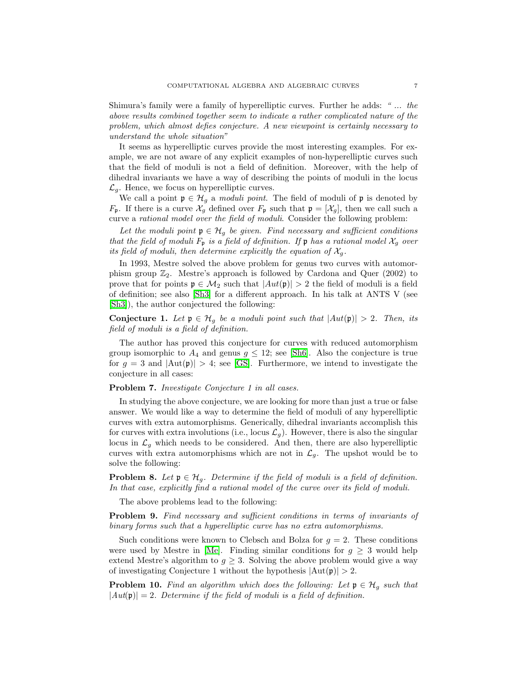Shimura's family were a family of hyperelliptic curves. Further he adds: *" ... the above results combined together seem to indicate a rather complicated nature of the problem, which almost defies conjecture. A new viewpoint is certainly necessary to understand the whole situation"*

It seems as hyperelliptic curves provide the most interesting examples. For example, we are not aware of any explicit examples of non-hyperelliptic curves such that the field of moduli is not a field of definition. Moreover, with the help of dihedral invariants we have a way of describing the points of moduli in the locus  $\mathcal{L}_q$ . Hence, we focus on hyperelliptic curves.

We call a point  $\mathfrak{p} \in \mathcal{H}_g$  a *moduli point*. The field of moduli of  $\mathfrak{p}$  is denoted by  $F_p$ . If there is a curve  $\mathcal{X}_g$  defined over  $F_p$  such that  $\mathfrak{p} = [\mathcal{X}_g]$ , then we call such a curve a *rational model over the field of moduli*. Consider the following problem:

*Let the moduli point*  $\mathfrak{p} \in \mathcal{H}_g$  *be given. Find necessary and sufficient conditions that the field of moduli*  $F_p$  *is a field of definition. If*  $\mathfrak p$  *has a rational model*  $\mathcal X_q$  *over its field of moduli, then determine explicitly the equation of*  $\mathcal{X}_q$ .

In 1993, Mestre solved the above problem for genus two curves with automorphism group  $\mathbb{Z}_2$ . Mestre's approach is followed by Cardona and Quer (2002) to prove that for points  $\mathfrak{p} \in \mathcal{M}_2$  such that  $|Aut(\mathfrak{p})| > 2$  the field of moduli is a field of definition; see also [\[Sh3\]](#page-8-3) for a different approach. In his talk at ANTS V (see [\[Sh3\]](#page-8-3)), the author conjectured the following:

Conjecture 1. Let  $\mathfrak{p} \in \mathcal{H}_q$  be a moduli point such that  $|Aut(\mathfrak{p})| > 2$ . Then, its *field of moduli is a field of definition.*

The author has proved this conjecture for curves with reduced automorphism group isomorphic to  $A_4$  and genus  $g \leq 12$ ; see [\[Sh6\]](#page-8-5). Also the conjecture is true for  $g = 3$  and  $|\text{Aut}(\mathfrak{p})| > 4$ ; see [\[GS\]](#page-7-1). Furthermore, we intend to investigate the conjecture in all cases:

## Problem 7. *Investigate Conjecture 1 in all cases.*

In studying the above conjecture, we are looking for more than just a true or false answer. We would like a way to determine the field of moduli of any hyperelliptic curves with extra automorphisms. Generically, dihedral invariants accomplish this for curves with extra involutions (i.e., locus  $\mathcal{L}_g$ ). However, there is also the singular locus in  $\mathcal{L}_g$  which needs to be considered. And then, there are also hyperelliptic curves with extra automorphisms which are not in  $\mathcal{L}_g$ . The upshot would be to solve the following:

**Problem 8.** *Let*  $\mathfrak{p} \in \mathcal{H}_g$ *. Determine if the field of moduli is a field of definition. In that case, explicitly find a rational model of the curve over its field of moduli.*

The above problems lead to the following:

Problem 9. *Find necessary and sufficient conditions in terms of invariants of binary forms such that a hyperelliptic curve has no extra automorphisms.*

Such conditions were known to Clebsch and Bolza for  $g = 2$ . These conditions were used by Mestre in [\[Me\]](#page-7-13). Finding similar conditions for  $g \geq 3$  would help extend Mestre's algorithm to  $q \geq 3$ . Solving the above problem would give a way of investigating Conjecture 1 without the hypothesis  $|\text{Aut}(\mathfrak{p})| > 2$ .

**Problem 10.** *Find an algorithm which does the following: Let*  $\mathfrak{p} \in \mathcal{H}_g$  *such that*  $|Aut(\mathfrak{p})| = 2$ . Determine if the field of moduli is a field of definition.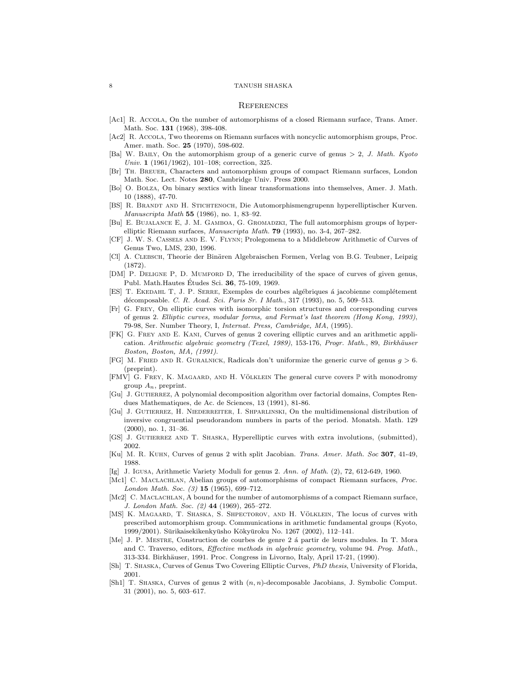#### 8 TANUSH SHASKA

#### **REFERENCES**

- <span id="page-7-9"></span><span id="page-7-6"></span>[Ac1] R. ACCOLA, On the number of automorphisms of a closed Riemann surface, Trans. Amer. Math. Soc. 131 (1968), 398-408.
- <span id="page-7-5"></span>[Ac2] R. ACCOLA, Two theorems on Riemann surfaces with noncyclic automorphism groups, Proc. Amer. math. Soc. 25 (1970), 598-602.
- <span id="page-7-11"></span>[Ba] W. BAILY, On the automorphism group of a generic curve of genus  $> 2$ , J. Math. Kyoto Univ. 1 (1961/1962), 101–108; correction, 325.
- [Br] Th. Breuer, Characters and automorphism groups of compact Riemann surfaces, London Math. Soc. Lect. Notes 280, Cambridge Univ. Press 2000.
- [Bo] O. Bolza, On binary sextics with linear transformations into themselves, Amer. J. Math. 10 (1888), 47-70.
- [BS] R. Brandt and H. Stichtenoch, Die Automorphismengrupenn hyperelliptischer Kurven. Manuscripta Math 55 (1986), no. 1, 83-92.
- [Bu] E. BUJALANCE E, J. M. GAMBOA, G. GROMADZKI, The full automorphism groups of hyperelliptic Riemann surfaces, Manuscripta Math. 79 (1993), no. 3-4, 267–282.
- [CF] J. W. S. Cassels and E. V. Flynn; Prolegomena to a Middlebrow Arithmetic of Curves of Genus Two, LMS, 230, 1996.
- [Cl] A. CLEBSCH, Theorie der Binären Algebraischen Formen, Verlag von B.G. Teubner, Leipzig (1872).
- [DM] P. DELIGNE P, D. MUMFORD D, The irreducibility of the space of curves of given genus, Publ. Math.Hautes Etudes Sci.  $36$ , 75-109, 1969.
- <span id="page-7-0"></span>[ES] T. EKEDAHL T, J. P. SERRE, Exemples de courbes algébriques à jacobienne complétement décomposable. C. R. Acad. Sci. Paris Sr. I Math., 317 (1993), no. 5, 509–513.
- [Fr] G. Frey, On elliptic curves with isomorphic torsion structures and corresponding curves of genus 2. Elliptic curves, modular forms, and Fermat's last theorem (Hong Kong, 1993), 79-98, Ser. Number Theory, I, Internat. Press, Cambridge, MA, (1995).
- <span id="page-7-2"></span>[FK] G. Frey and E. Kani, Curves of genus 2 covering elliptic curves and an arithmetic application. Arithmetic algebraic geometry (Texel, 1989), 153-176, Progr. Math., 89, Birkhäuser Boston, Boston, MA, (1991).
- <span id="page-7-12"></span>[FG] M. FRIED AND R. GURALNICK, Radicals don't uniformize the generic curve of genus  $g > 6$ . (preprint).
- [FMV] G. FREY, K. MAGAARD, AND H. VÖLKLEIN The general curve covers  $\mathbb P$  with monodromy group  $A_n$ , preprint.
- [Gu] J. GUTIERREZ, A polynomial decomposition algorithm over factorial domains, Comptes Rendues Mathematiques, de Ac. de Sciences, 13 (1991), 81-86.
- [Gu] J. GUTIERREZ, H. NIEDERREITER, I. SHPARLINSKI, On the multidimensional distribution of inversive congruential pseudorandom numbers in parts of the period. Monatsh. Math. 129 (2000), no. 1, 31–36.
- <span id="page-7-4"></span><span id="page-7-1"></span>[GS] J. GUTIERREZ AND T. SHASKA, Hyperelliptic curves with extra involutions, (submitted), 2002.
- [Ku] M. R. Kuhn, Curves of genus 2 with split Jacobian. Trans. Amer. Math. Soc 307, 41-49, 1988.
- [Ig] J. IGUSA, Arithmetic Variety Moduli for genus 2. Ann. of Math. (2), 72, 612-649, 1960.
- <span id="page-7-8"></span><span id="page-7-7"></span>[Mc1] C. MACLACHLAN, Abelian groups of automorphisms of compact Riemann surfaces, Proc. London Math. Soc.  $(3)$  15  $(1965)$ , 699-712.
- [Mc2] C. MACLACHLAN, A bound for the number of automorphisms of a compact Riemann surface, J. London Math. Soc. (2) 44 (1969), 265–272.
- <span id="page-7-10"></span>[MS] K. MAGAARD, T. SHASKA, S. SHPECTOROV, AND H. VÖLKLEIN, The locus of curves with prescribed automorphism group. Communications in arithmetic fundamental groups (Kyoto, 1999/2001). Sūrikaisekikenkyūsho Kōkyūroku No. 1267 (2002), 112-141.
- <span id="page-7-13"></span>[Me] J. P. MESTRE, Construction de courbes de genre 2 á partir de leurs modules. In T. Mora and C. Traverso, editors, Effective methods in algebraic geometry, volume 94. Prog. Math., 313-334. Birkhäuser, 1991. Proc. Congress in Livorno, Italy, April 17-21, (1990).
- [Sh] T. Shaska, Curves of Genus Two Covering Elliptic Curves, PhD thesis, University of Florida, 2001.
- <span id="page-7-3"></span>[Sh1] T. Shaska, Curves of genus 2 with (n, n)-decomposable Jacobians, J. Symbolic Comput. 31 (2001), no. 5, 603–617.